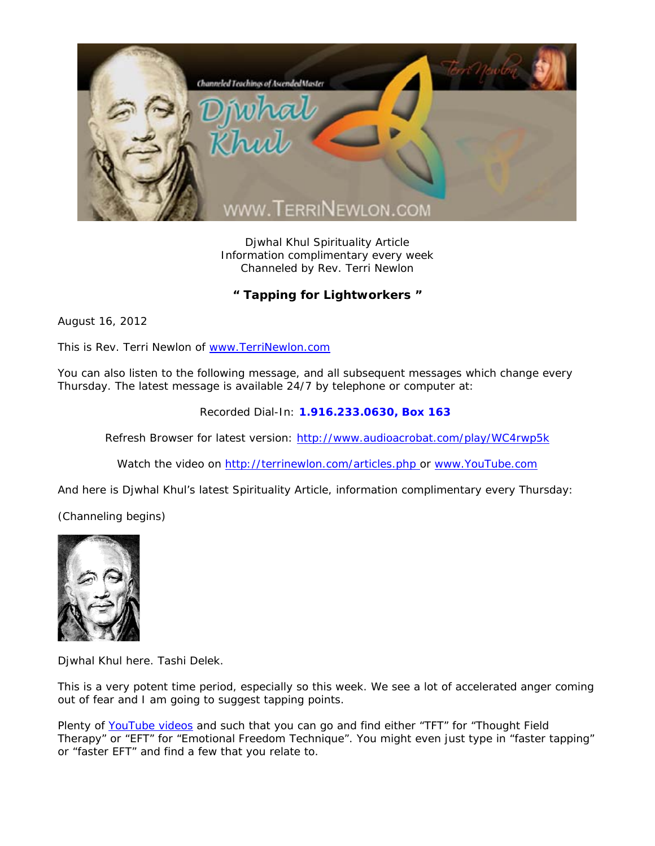

Djwhal Khul Spirituality Article Information complimentary every week Channeled by Rev. Terri Newlon

**" Tapping for Lightworkers "** 

August 16, 2012

This is Rev. Terri Newlon of www.TerriNewlon.com

You can also listen to the following message, and all subsequent messages which change every Thursday. The latest message is available 24/7 by telephone or computer at:

Recorded Dial-In: **1.916.233.0630, Box 163** 

Refresh Browser for latest version: http://www.audioacrobat.com/play/WC4rwp5k

Watch the video on http://terrinewlon.com/articles.php or www.YouTube.com

And here is Djwhal Khul's latest Spirituality Article, information complimentary every Thursday:

(Channeling begins)



Djwhal Khul here. Tashi Delek.

This is a very potent time period, especially so this week. We see a lot of accelerated anger coming out of fear and I am going to suggest tapping points.

Plenty of *YouTube* videos and such that you can go and find either "TFT" for "Thought Field Therapy" or "EFT" for "Emotional Freedom Technique". You might even just type in "faster tapping" or "faster EFT" and find a few that you relate to.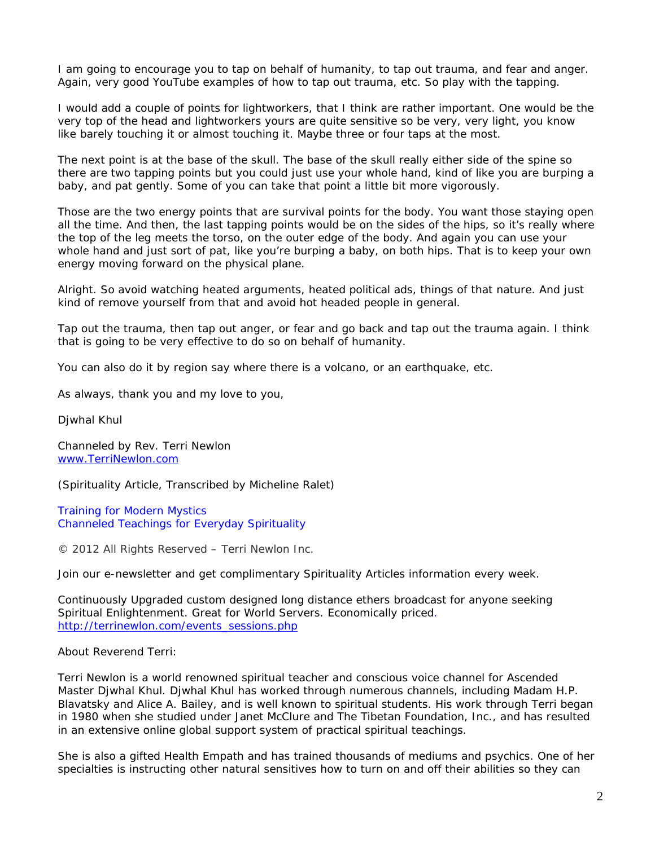I am going to encourage you to tap on behalf of humanity, to tap out trauma, and fear and anger. Again, very good *YouTube* examples of how to tap out trauma, etc. So play with the tapping.

I would add a couple of points for lightworkers, that I think are rather important. One would be the very top of the head and lightworkers yours are quite sensitive so be very, very light, you know like barely touching it or almost touching it. Maybe three or four taps at the most.

The next point is at the base of the skull. The base of the skull really either side of the spine so there are two tapping points but you could just use your whole hand, kind of like you are burping a baby, and pat gently. Some of you can take that point a little bit more vigorously.

Those are the two energy points that are survival points for the body. You want those staying open all the time. And then, the last tapping points would be on the sides of the hips, so it's really where the top of the leg meets the torso, on the outer edge of the body. And again you can use your whole hand and just sort of pat, like you're burping a baby, on both hips. That is to keep your own energy moving forward on the physical plane.

Alright. So avoid watching heated arguments, heated political ads, things of that nature. And just kind of remove yourself from that and avoid hot headed people in general.

Tap out the trauma, then tap out anger, or fear and go back and tap out the trauma again. I think that is going to be very effective to do so on behalf of humanity.

You can also do it by region say where there is a volcano, or an earthquake, etc.

As always, thank you and my love to you,

Djwhal Khul

Channeled by Rev. Terri Newlon www.TerriNewlon.com

(Spirituality Article, Transcribed by Micheline Ralet)

Training for Modern Mystics Channeled Teachings for Everyday Spirituality

© 2012 All Rights Reserved – Terri Newlon Inc.

Join our e-newsletter and get complimentary Spirituality Articles information every week.

Continuously Upgraded custom designed long distance ethers broadcast for anyone seeking Spiritual Enlightenment. Great for World Servers. Economically priced. http://terrinewlon.com/events\_sessions.php

About Reverend Terri:

Terri Newlon is a world renowned spiritual teacher and conscious voice channel for Ascended Master Djwhal Khul. Djwhal Khul has worked through numerous channels, including Madam H.P. Blavatsky and Alice A. Bailey, and is well known to spiritual students. His work through Terri began in 1980 when she studied under Janet McClure and The Tibetan Foundation, Inc., and has resulted in an extensive online global support system of practical spiritual teachings.

She is also a gifted Health Empath and has trained thousands of mediums and psychics. One of her specialties is instructing other natural sensitives how to turn on and off their abilities so they can